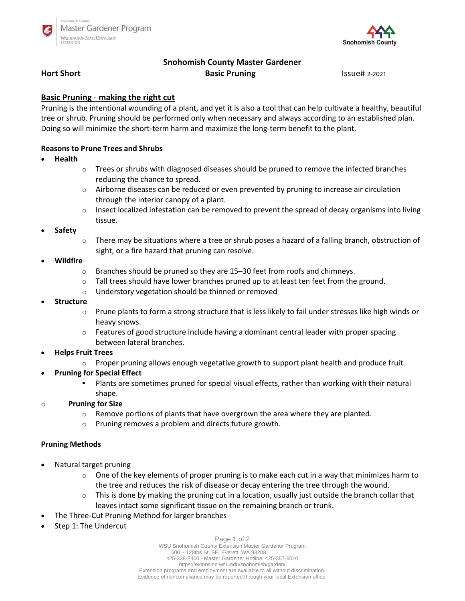



## **Snohomish County Master Gardener**

#### **Hort Short Basic Pruning Basic Prophetic Additional State Act 2-2021**

# **Basic Pruning** - **making the right cut**

Pruning is the intentional wounding of a plant, and yet it is also a tool that can help cultivate a healthy, beautiful tree or shrub. Pruning should be performed only when necessary and always according to an established plan. Doing so will minimize the short-term harm and maximize the long-term benefit to the plant.

#### **Reasons to Prune Trees and Shrubs**

- **Health**
	- $\circ$  Trees or shrubs with diagnosed diseases should be pruned to remove the infected branches reducing the chance to spread.
	- $\circ$  Airborne diseases can be reduced or even prevented by pruning to increase air circulation through the interior canopy of a plant.
	- $\circ$  Insect localized infestation can be removed to prevent the spread of decay organisms into living tissue.
- **Safety**
- $\circ$  There may be situations where a tree or shrub poses a hazard of a falling branch, obstruction of sight, or a fire hazard that pruning can resolve.
- **Wildfire**
	- o Branches should be pruned so they are 15–30 feet from roofs and chimneys.
	- $\circ$  Tall trees should have lower branches pruned up to at least ten feet from the ground.
	- o Understory vegetation should be thinned or removed
- **Structure**
	- $\circ$  Prune plants to form a strong structure that is less likely to fail under stresses like high winds or heavy snows.
	- $\circ$  Features of good structure include having a dominant central leader with proper spacing between lateral branches.
- **Helps Fruit Trees**
	- $\circ$  Proper pruning allows enough vegetative growth to support plant health and produce fruit.
	- **Pruning for Special Effect**
		- Plants are sometimes pruned for special visual effects, rather than working with their natural shape.
- o **Pruning for Size**
	- $\circ$  Remove portions of plants that have overgrown the area where they are planted.
	- o Pruning removes a problem and directs future growth.

### **Pruning Methods**

- Natural target pruning
	- $\circ$  One of the key elements of proper pruning is to make each cut in a way that minimizes harm to the tree and reduces the risk of disease or decay entering the tree through the wound.
	- $\circ$  This is done by making the pruning cut in a location, usually just outside the branch collar that leaves intact some significant tissue on the remaining branch or trunk.
- The Three-Cut Pruning Method for larger branches
- Step 1: The Undercut

Page 1 of 2

WSU Snohomish County Extension Master Gardener Program 600 – 128ths St. SE, Everett, WA 98208 425-338-2400 - Master Gardener Hotline: 425-357-6010 https://extension.wsu.edu/snohomish/garden/ Extension programs and employment are available to all without discrimination. Evidence of noncompliance may be reported through your local Extension office.